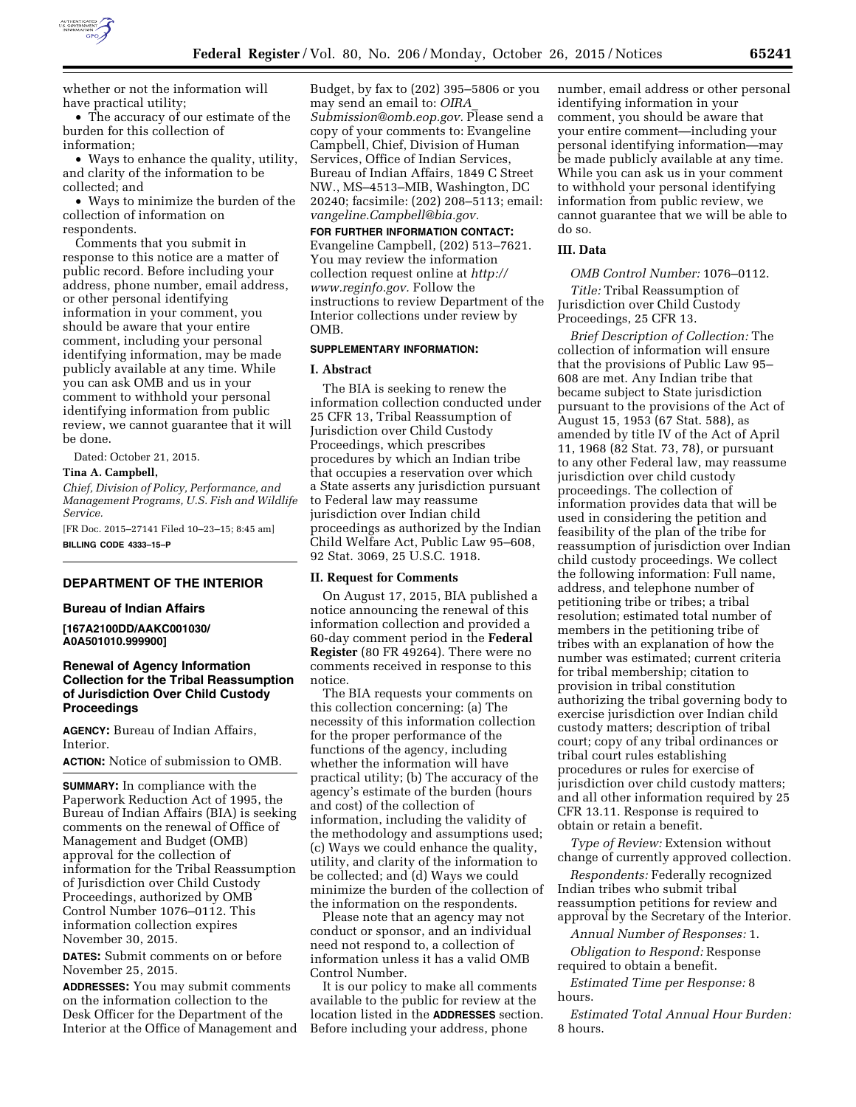

whether or not the information will have practical utility;

• The accuracy of our estimate of the burden for this collection of information;

• Ways to enhance the quality, utility, and clarity of the information to be collected; and

• Ways to minimize the burden of the collection of information on respondents.

Comments that you submit in response to this notice are a matter of public record. Before including your address, phone number, email address, or other personal identifying information in your comment, you should be aware that your entire comment, including your personal identifying information, may be made publicly available at any time. While you can ask OMB and us in your comment to withhold your personal identifying information from public review, we cannot guarantee that it will be done.

Dated: October 21, 2015.

## **Tina A. Campbell,**

*Chief, Division of Policy, Performance, and Management Programs, U.S. Fish and Wildlife Service.* 

[FR Doc. 2015–27141 Filed 10–23–15; 8:45 am]

**BILLING CODE 4333–15–P** 

## **DEPARTMENT OF THE INTERIOR**

## **Bureau of Indian Affairs**

**[167A2100DD/AAKC001030/ A0A501010.999900]** 

# **Renewal of Agency Information Collection for the Tribal Reassumption of Jurisdiction Over Child Custody Proceedings**

**AGENCY:** Bureau of Indian Affairs, **Interior** 

**ACTION:** Notice of submission to OMB.

**SUMMARY:** In compliance with the Paperwork Reduction Act of 1995, the Bureau of Indian Affairs (BIA) is seeking comments on the renewal of Office of Management and Budget (OMB) approval for the collection of information for the Tribal Reassumption of Jurisdiction over Child Custody Proceedings, authorized by OMB Control Number 1076–0112. This information collection expires November 30, 2015.

**DATES:** Submit comments on or before November 25, 2015.

**ADDRESSES:** You may submit comments on the information collection to the Desk Officer for the Department of the Interior at the Office of Management and Budget, by fax to (202) 395–5806 or you may send an email to: *[OIRA](mailto:OIRA_Submission@omb.eop.gov)*\_ *[Submission@omb.eop.gov.](mailto:OIRA_Submission@omb.eop.gov)* Please send a copy of your comments to: Evangeline Campbell, Chief, Division of Human Services, Office of Indian Services, Bureau of Indian Affairs, 1849 C Street NW., MS–4513–MIB, Washington, DC 20240; facsimile: (202) 208–5113; email: *[vangeline.Campbell@bia.gov.](mailto:vangeline.Campbell@bia.gov)* 

**FOR FURTHER INFORMATION CONTACT:**  Evangeline Campbell, (202) 513–7621. You may review the information collection request online at *[http://](http://www.reginfo.gov) [www.reginfo.gov.](http://www.reginfo.gov)* Follow the instructions to review Department of the Interior collections under review by **OMB** 

#### **SUPPLEMENTARY INFORMATION:**

## **I. Abstract**

The BIA is seeking to renew the information collection conducted under 25 CFR 13, Tribal Reassumption of Jurisdiction over Child Custody Proceedings, which prescribes procedures by which an Indian tribe that occupies a reservation over which a State asserts any jurisdiction pursuant to Federal law may reassume jurisdiction over Indian child proceedings as authorized by the Indian Child Welfare Act, Public Law 95–608, 92 Stat. 3069, 25 U.S.C. 1918.

### **II. Request for Comments**

On August 17, 2015, BIA published a notice announcing the renewal of this information collection and provided a 60-day comment period in the **Federal Register** (80 FR 49264). There were no comments received in response to this notice.

The BIA requests your comments on this collection concerning: (a) The necessity of this information collection for the proper performance of the functions of the agency, including whether the information will have practical utility; (b) The accuracy of the agency's estimate of the burden (hours and cost) of the collection of information, including the validity of the methodology and assumptions used; (c) Ways we could enhance the quality, utility, and clarity of the information to be collected; and (d) Ways we could minimize the burden of the collection of the information on the respondents.

Please note that an agency may not conduct or sponsor, and an individual need not respond to, a collection of information unless it has a valid OMB Control Number.

It is our policy to make all comments available to the public for review at the location listed in the **ADDRESSES** section. Before including your address, phone

number, email address or other personal identifying information in your comment, you should be aware that your entire comment—including your personal identifying information—may be made publicly available at any time. While you can ask us in your comment to withhold your personal identifying information from public review, we cannot guarantee that we will be able to do so.

### **III. Data**

*OMB Control Number:* 1076–0112.

*Title:* Tribal Reassumption of Jurisdiction over Child Custody Proceedings, 25 CFR 13.

*Brief Description of Collection:* The collection of information will ensure that the provisions of Public Law 95– 608 are met. Any Indian tribe that became subject to State jurisdiction pursuant to the provisions of the Act of August 15, 1953 (67 Stat. 588), as amended by title IV of the Act of April 11, 1968 (82 Stat. 73, 78), or pursuant to any other Federal law, may reassume jurisdiction over child custody proceedings. The collection of information provides data that will be used in considering the petition and feasibility of the plan of the tribe for reassumption of jurisdiction over Indian child custody proceedings. We collect the following information: Full name, address, and telephone number of petitioning tribe or tribes; a tribal resolution; estimated total number of members in the petitioning tribe of tribes with an explanation of how the number was estimated; current criteria for tribal membership; citation to provision in tribal constitution authorizing the tribal governing body to exercise jurisdiction over Indian child custody matters; description of tribal court; copy of any tribal ordinances or tribal court rules establishing procedures or rules for exercise of jurisdiction over child custody matters; and all other information required by 25 CFR 13.11. Response is required to obtain or retain a benefit.

*Type of Review:* Extension without change of currently approved collection.

*Respondents:* Federally recognized Indian tribes who submit tribal reassumption petitions for review and approval by the Secretary of the Interior.

*Annual Number of Responses:* 1.

*Obligation to Respond:* Response required to obtain a benefit.

*Estimated Time per Response:* 8 hours.

*Estimated Total Annual Hour Burden:*  8 hours.